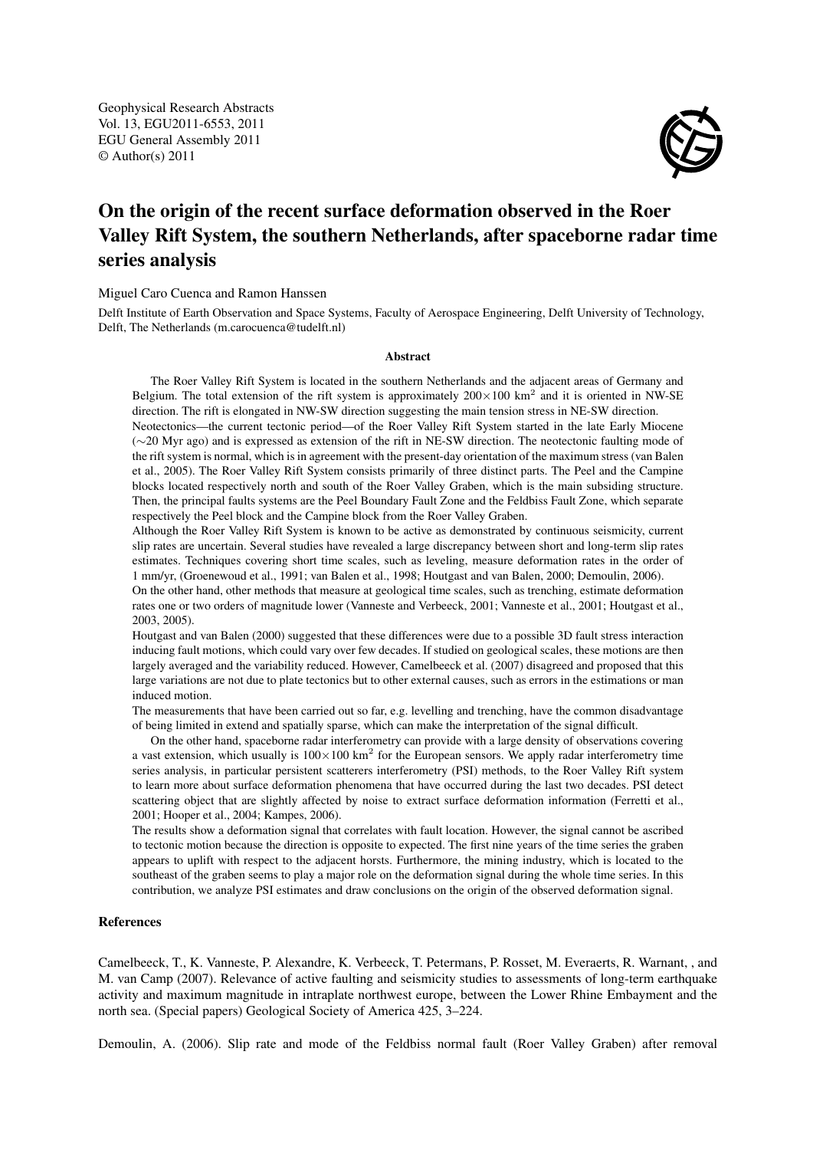Geophysical Research Abstracts Vol. 13, EGU2011-6553, 2011 EGU General Assembly 2011 © Author(s) 2011



## On the origin of the recent surface deformation observed in the Roer Valley Rift System, the southern Netherlands, after spaceborne radar time series analysis

## Miguel Caro Cuenca and Ramon Hanssen

Delft Institute of Earth Observation and Space Systems, Faculty of Aerospace Engineering, Delft University of Technology, Delft, The Netherlands (m.carocuenca@tudelft.nl)

## Abstract

The Roer Valley Rift System is located in the southern Netherlands and the adjacent areas of Germany and Belgium. The total extension of the rift system is approximately  $200 \times 100 \text{ km}^2$  and it is oriented in NW-SE direction. The rift is elongated in NW-SW direction suggesting the main tension stress in NE-SW direction.

Neotectonics—the current tectonic period—of the Roer Valley Rift System started in the late Early Miocene (∼20 Myr ago) and is expressed as extension of the rift in NE-SW direction. The neotectonic faulting mode of the rift system is normal, which is in agreement with the present-day orientation of the maximum stress (van Balen et al., 2005). The Roer Valley Rift System consists primarily of three distinct parts. The Peel and the Campine blocks located respectively north and south of the Roer Valley Graben, which is the main subsiding structure. Then, the principal faults systems are the Peel Boundary Fault Zone and the Feldbiss Fault Zone, which separate respectively the Peel block and the Campine block from the Roer Valley Graben.

Although the Roer Valley Rift System is known to be active as demonstrated by continuous seismicity, current slip rates are uncertain. Several studies have revealed a large discrepancy between short and long-term slip rates estimates. Techniques covering short time scales, such as leveling, measure deformation rates in the order of 1 mm/yr, (Groenewoud et al., 1991; van Balen et al., 1998; Houtgast and van Balen, 2000; Demoulin, 2006).

On the other hand, other methods that measure at geological time scales, such as trenching, estimate deformation rates one or two orders of magnitude lower (Vanneste and Verbeeck, 2001; Vanneste et al., 2001; Houtgast et al., 2003, 2005).

Houtgast and van Balen (2000) suggested that these differences were due to a possible 3D fault stress interaction inducing fault motions, which could vary over few decades. If studied on geological scales, these motions are then largely averaged and the variability reduced. However, Camelbeeck et al. (2007) disagreed and proposed that this large variations are not due to plate tectonics but to other external causes, such as errors in the estimations or man induced motion.

The measurements that have been carried out so far, e.g. levelling and trenching, have the common disadvantage of being limited in extend and spatially sparse, which can make the interpretation of the signal difficult.

On the other hand, spaceborne radar interferometry can provide with a large density of observations covering a vast extension, which usually is  $100 \times 100$  km<sup>2</sup> for the European sensors. We apply radar interferometry time series analysis, in particular persistent scatterers interferometry (PSI) methods, to the Roer Valley Rift system to learn more about surface deformation phenomena that have occurred during the last two decades. PSI detect scattering object that are slightly affected by noise to extract surface deformation information (Ferretti et al., 2001; Hooper et al., 2004; Kampes, 2006).

The results show a deformation signal that correlates with fault location. However, the signal cannot be ascribed to tectonic motion because the direction is opposite to expected. The first nine years of the time series the graben appears to uplift with respect to the adjacent horsts. Furthermore, the mining industry, which is located to the southeast of the graben seems to play a major role on the deformation signal during the whole time series. In this contribution, we analyze PSI estimates and draw conclusions on the origin of the observed deformation signal.

## References

Camelbeeck, T., K. Vanneste, P. Alexandre, K. Verbeeck, T. Petermans, P. Rosset, M. Everaerts, R. Warnant, , and M. van Camp (2007). Relevance of active faulting and seismicity studies to assessments of long-term earthquake activity and maximum magnitude in intraplate northwest europe, between the Lower Rhine Embayment and the north sea. (Special papers) Geological Society of America 425, 3–224.

Demoulin, A. (2006). Slip rate and mode of the Feldbiss normal fault (Roer Valley Graben) after removal